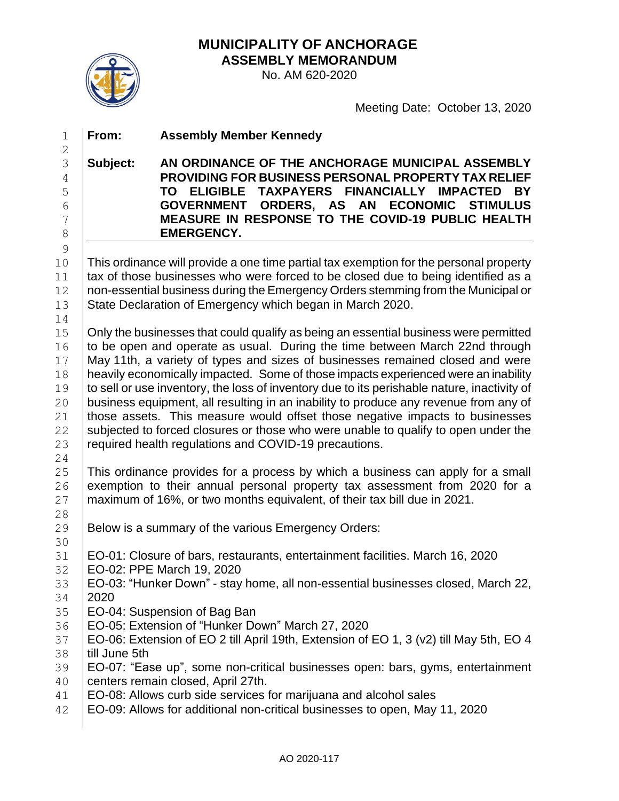**MUNICIPALITY OF ANCHORAGE ASSEMBLY MEMORANDUM**



No. AM 620-2020

Meeting Date: October 13, 2020

 **From: Assembly Member Kennedy Subject: AN ORDINANCE OF THE ANCHORAGE MUNICIPAL ASSEMBLY PROVIDING FOR BUSINESS PERSONAL PROPERTY TAX RELIEF TO ELIGIBLE TAXPAYERS FINANCIALLY IMPACTED BY GOVERNMENT ORDERS, AS AN ECONOMIC STIMULUS MEASURE IN RESPONSE TO THE COVID-19 PUBLIC HEALTH EMERGENCY.**  10 This ordinance will provide a one time partial tax exemption for the personal property 11 tax of those businesses who were forced to be closed due to being identified as a 12 | non-essential business during the Emergency Orders stemming from the Municipal or 13 State Declaration of Emergency which began in March 2020. Only the businesses that could qualify as being an essential business were permitted to be open and operate as usual. During the time between March 22nd through May 11th, a variety of types and sizes of businesses remained closed and were heavily economically impacted. Some of those impacts experienced were an inability 19 to sell or use inventory, the loss of inventory due to its perishable nature, inactivity of 20 business equipment, all resulting in an inability to produce any revenue from any of 21 | those assets. This measure would offset those negative impacts to businesses subjected to forced closures or those who were unable to qualify to open under the 23 | required health regulations and COVID-19 precautions. This ordinance provides for a process by which a business can apply for a small 26 exemption to their annual personal property tax assessment from 2020 for a 27 | maximum of 16%, or two months equivalent, of their tax bill due in 2021. 29 Below is a summary of the various Emergency Orders: EO-01: Closure of bars, restaurants, entertainment facilities. March 16, 2020 EO-02: PPE March 19, 2020 EO-03: "Hunker Down" - stay home, all non-essential businesses closed, March 22, 2020 EO-04: Suspension of Bag Ban EO-05: Extension of "Hunker Down" March 27, 2020 EO-06: Extension of EO 2 till April 19th, Extension of EO 1, 3 (v2) till May 5th, EO 4 38 I till June 5th EO-07: "Ease up", some non-critical businesses open: bars, gyms, entertainment centers remain closed, April 27th. 41 | EO-08: Allows curb side services for marijuana and alcohol sales EO-09: Allows for additional non-critical businesses to open, May 11, 2020